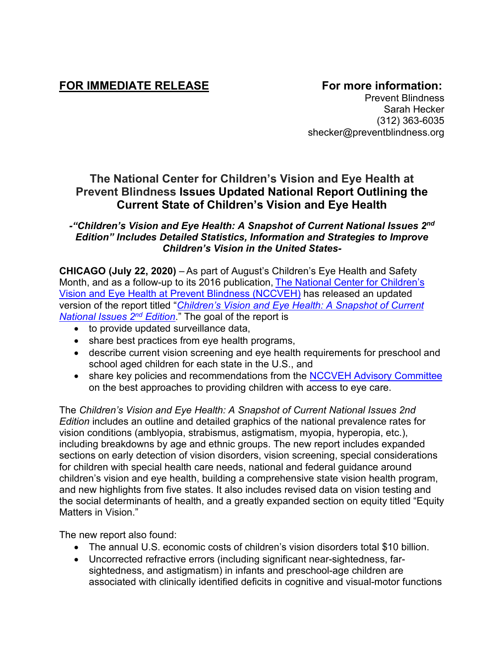# FOR IMMEDIATE RELEASE **FOR IMMEDIATE RELEASE**

Prevent Blindness Sarah Hecker (312) 363-6035 shecker@preventblindness.org

## **The National Center for Children's Vision and Eye Health at Prevent Blindness Issues Updated National Report Outlining the Current State of Children's Vision and Eye Health**

## *-"Children's Vision and Eye Health: A Snapshot of Current National Issues 2nd Edition" Includes Detailed Statistics, Information and Strategies to Improve Children's Vision in the United States-*

**CHICAGO (July 22, 2020)** – As part of August's Children's Eye Health and Safety Month, and as a follow-up to its 2016 publication, [The National Center for Children's](https://nationalcenter.preventblindness.org/)  [Vision and Eye Health at Prevent Blindness \(NCCVEH\)](https://nationalcenter.preventblindness.org/) has released an updated version of the report titled "*[Children's Vision and Eye Health: A Snapshot of Current](https://www.preventblindness.org/childrens-vision-report-2nd.)  [National Issues](https://www.preventblindness.org/childrens-vision-report-2nd.) 2nd Edition*." The goal of the report is

- to provide updated surveillance data,
- share best practices from eye health programs,
- describe current vision screening and eye health requirements for preschool and school aged children for each state in the U.S., and
- share key policies and recommendations from the [NCCVEH Advisory Committee](https://nationalcenter.preventblindness.org/leadership-of-the-national-center-for-childrens-vision-and-eye-health/) on the best approaches to providing children with access to eye care.

The *Children's Vision and Eye Health: A Snapshot of Current National Issues 2nd Edition* includes an outline and detailed graphics of the national prevalence rates for vision conditions (amblyopia, strabismus, astigmatism, myopia, hyperopia, etc.), including breakdowns by age and ethnic groups. The new report includes expanded sections on early detection of vision disorders, vision screening, special considerations for children with special health care needs, national and federal guidance around children's vision and eye health, building a comprehensive state vision health program, and new highlights from five states. It also includes revised data on vision testing and the social determinants of health, and a greatly expanded section on equity titled "Equity Matters in Vision."

The new report also found:

- The annual U.S. economic costs of children's vision disorders total \$10 billion.
- Uncorrected refractive errors (including significant near-sightedness, farsightedness, and astigmatism) in infants and preschool-age children are associated with clinically identified deficits in cognitive and visual-motor functions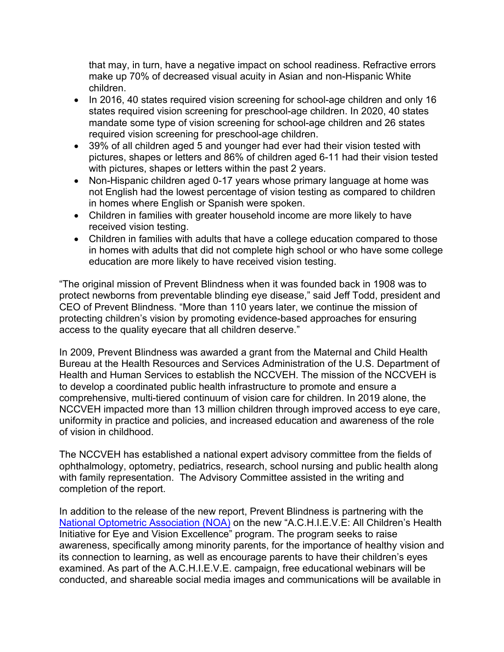that may, in turn, have a negative impact on school readiness. Refractive errors make up 70% of decreased visual acuity in Asian and non-Hispanic White children.

- In 2016, 40 states required vision screening for school-age children and only 16 states required vision screening for preschool-age children. In 2020, 40 states mandate some type of vision screening for school-age children and 26 states required vision screening for preschool-age children.
- 39% of all children aged 5 and younger had ever had their vision tested with pictures, shapes or letters and 86% of children aged 6-11 had their vision tested with pictures, shapes or letters within the past 2 years.
- Non-Hispanic children aged 0-17 years whose primary language at home was not English had the lowest percentage of vision testing as compared to children in homes where English or Spanish were spoken.
- Children in families with greater household income are more likely to have received vision testing.
- Children in families with adults that have a college education compared to those in homes with adults that did not complete high school or who have some college education are more likely to have received vision testing.

"The original mission of Prevent Blindness when it was founded back in 1908 was to protect newborns from preventable blinding eye disease," said Jeff Todd, president and CEO of Prevent Blindness. "More than 110 years later, we continue the mission of protecting children's vision by promoting evidence-based approaches for ensuring access to the quality eyecare that all children deserve."

In 2009, Prevent Blindness was awarded a grant from the Maternal and Child Health Bureau at the Health Resources and Services Administration of the U.S. Department of Health and Human Services to establish the NCCVEH. The mission of the NCCVEH is to develop a coordinated public health infrastructure to promote and ensure a comprehensive, multi-tiered continuum of vision care for children. In 2019 alone, the NCCVEH impacted more than 13 million children through improved access to eye care, uniformity in practice and policies, and increased education and awareness of the role of vision in childhood.

The NCCVEH has established a national expert advisory committee from the fields of ophthalmology, optometry, pediatrics, research, school nursing and public health along with family representation. The Advisory Committee assisted in the writing and completion of the report.

In addition to the release of the new report, Prevent Blindness is partnering with the [National Optometric Association \(NOA\)](http://www.nationaloptometricassociation.com/) on the new "A.C.H.I.E.V.E: All Children's Health Initiative for Eye and Vision Excellence" program. The program seeks to raise awareness, specifically among minority parents, for the importance of healthy vision and its connection to learning, as well as encourage parents to have their children's eyes examined. As part of the A.C.H.I.E.V.E. campaign, free educational webinars will be conducted, and shareable social media images and communications will be available in